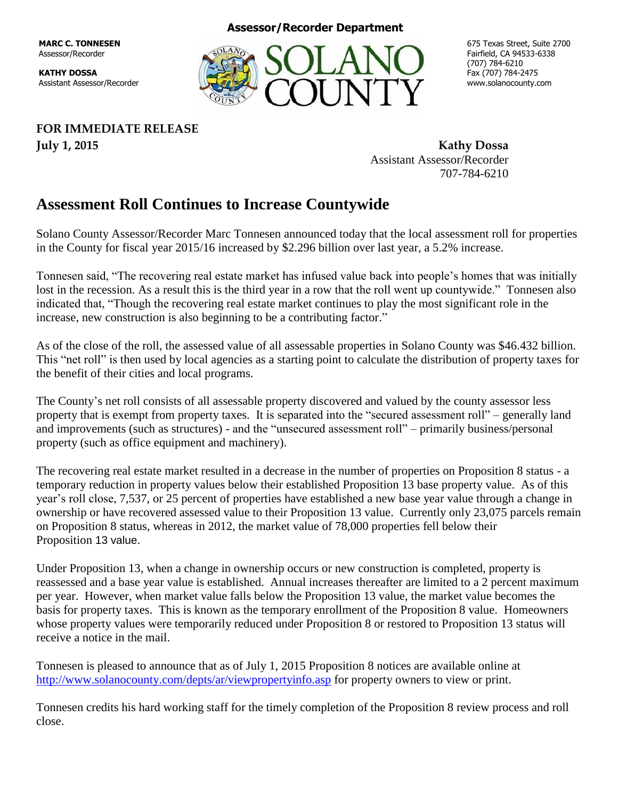**MARC C. TONNESEN** Assessor/Recorder

**KATHY DOSSA** Assistant Assessor/Recorder **Assessor/Recorder Department**



675 Texas Street, Suite 2700 Fairfield, CA 94533-6338 (707) 784-6210 Fax (707) 784-2475 www.solanocounty.com

**FOR IMMEDIATE RELEASE July 1, 2015 Kathy Dossa**

Assistant Assessor/Recorder 707-784-6210

## **Assessment Roll Continues to Increase Countywide**

Solano County Assessor/Recorder Marc Tonnesen announced today that the local assessment roll for properties in the County for fiscal year 2015/16 increased by \$2.296 billion over last year, a 5.2% increase.

Tonnesen said, "The recovering real estate market has infused value back into people's homes that was initially lost in the recession. As a result this is the third year in a row that the roll went up countywide." Tonnesen also indicated that, "Though the recovering real estate market continues to play the most significant role in the increase, new construction is also beginning to be a contributing factor."

As of the close of the roll, the assessed value of all assessable properties in Solano County was \$46.432 billion. This "net roll" is then used by local agencies as a starting point to calculate the distribution of property taxes for the benefit of their cities and local programs.

The County's net roll consists of all assessable property discovered and valued by the county assessor less property that is exempt from property taxes. It is separated into the "secured assessment roll" – generally land and improvements (such as structures) - and the "unsecured assessment roll" – primarily business/personal property (such as office equipment and machinery).

The recovering real estate market resulted in a decrease in the number of properties on Proposition 8 status - a temporary reduction in property values below their established Proposition 13 base property value. As of this year's roll close, 7,537, or 25 percent of properties have established a new base year value through a change in ownership or have recovered assessed value to their Proposition 13 value. Currently only 23,075 parcels remain on Proposition 8 status, whereas in 2012, the market value of 78,000 properties fell below their Proposition 13 value.

Under Proposition 13, when a change in ownership occurs or new construction is completed, property is reassessed and a base year value is established. Annual increases thereafter are limited to a 2 percent maximum per year. However, when market value falls below the Proposition 13 value, the market value becomes the basis for property taxes. This is known as the temporary enrollment of the Proposition 8 value. Homeowners whose property values were temporarily reduced under Proposition 8 or restored to Proposition 13 status will receive a notice in the mail.

Tonnesen is pleased to announce that as of July 1, 2015 Proposition 8 notices are available online at <http://www.solanocounty.com/depts/ar/viewpropertyinfo.asp> for property owners to view or print.

Tonnesen credits his hard working staff for the timely completion of the Proposition 8 review process and roll close.